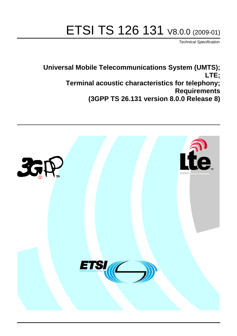# ETSI TS 126 131 V8.0.0 (2009-01)

*Technical Specification*

**Universal Mobile Telecommunications System (UMTS); LTE; Terminal acoustic characteristics for telephony; Requirements (3GPP TS 26.131 version 8.0.0 Release 8)**

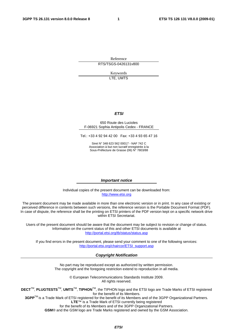Reference RTS/TSGS-0426131v800

> Keywords LTE, UMTS

#### *ETSI*

#### 650 Route des Lucioles F-06921 Sophia Antipolis Cedex - FRANCE

Tel.: +33 4 92 94 42 00 Fax: +33 4 93 65 47 16

Siret N° 348 623 562 00017 - NAF 742 C Association à but non lucratif enregistrée à la Sous-Préfecture de Grasse (06) N° 7803/88

#### *Important notice*

Individual copies of the present document can be downloaded from: [http://www.etsi.org](http://www.etsi.org/)

The present document may be made available in more than one electronic version or in print. In any case of existing or perceived difference in contents between such versions, the reference version is the Portable Document Format (PDF). In case of dispute, the reference shall be the printing on ETSI printers of the PDF version kept on a specific network drive within ETSI Secretariat.

Users of the present document should be aware that the document may be subject to revision or change of status. Information on the current status of this and other ETSI documents is available at <http://portal.etsi.org/tb/status/status.asp>

If you find errors in the present document, please send your comment to one of the following services: [http://portal.etsi.org/chaircor/ETSI\\_support.asp](http://portal.etsi.org/chaircor/ETSI_support.asp)

#### *Copyright Notification*

No part may be reproduced except as authorized by written permission. The copyright and the foregoing restriction extend to reproduction in all media.

> © European Telecommunications Standards Institute 2009. All rights reserved.

**DECT**TM, **PLUGTESTS**TM, **UMTS**TM, **TIPHON**TM, the TIPHON logo and the ETSI logo are Trade Marks of ETSI registered for the benefit of its Members.

**3GPP**TM is a Trade Mark of ETSI registered for the benefit of its Members and of the 3GPP Organizational Partners. **LTE**™ is a Trade Mark of ETSI currently being registered

for the benefit of its Members and of the 3GPP Organizational Partners.

**GSM**® and the GSM logo are Trade Marks registered and owned by the GSM Association.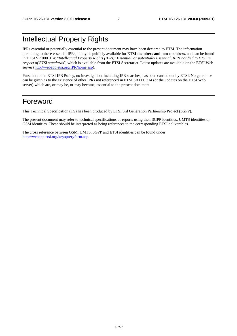# Intellectual Property Rights

IPRs essential or potentially essential to the present document may have been declared to ETSI. The information pertaining to these essential IPRs, if any, is publicly available for **ETSI members and non-members**, and can be found in ETSI SR 000 314: *"Intellectual Property Rights (IPRs); Essential, or potentially Essential, IPRs notified to ETSI in respect of ETSI standards"*, which is available from the ETSI Secretariat. Latest updates are available on the ETSI Web server (<http://webapp.etsi.org/IPR/home.asp>).

Pursuant to the ETSI IPR Policy, no investigation, including IPR searches, has been carried out by ETSI. No guarantee can be given as to the existence of other IPRs not referenced in ETSI SR 000 314 (or the updates on the ETSI Web server) which are, or may be, or may become, essential to the present document.

# Foreword

This Technical Specification (TS) has been produced by ETSI 3rd Generation Partnership Project (3GPP).

The present document may refer to technical specifications or reports using their 3GPP identities, UMTS identities or GSM identities. These should be interpreted as being references to the corresponding ETSI deliverables.

The cross reference between GSM, UMTS, 3GPP and ETSI identities can be found under <http://webapp.etsi.org/key/queryform.asp>.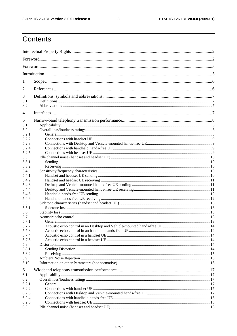#### $\mathbf{3}$

# Contents

| 1                              |  |  |  |
|--------------------------------|--|--|--|
| 2                              |  |  |  |
| 3<br>3.1<br>3.2                |  |  |  |
| 4                              |  |  |  |
| 5<br>5.1<br>5.2<br>5.2.1       |  |  |  |
| 5.2.2<br>5.2.3                 |  |  |  |
| 5.2.4<br>5.2.5<br>5.3          |  |  |  |
| 5.3.1<br>5.3.2                 |  |  |  |
| 5.4<br>5.4.1<br>5.4.2          |  |  |  |
| 5.4.3<br>5.4.4<br>5.4.5        |  |  |  |
| 5.4.6<br>5.5<br>5.5.1          |  |  |  |
| 5.6<br>5.7<br>5.7.1            |  |  |  |
| 5.7.2<br>5.7.3<br>5.7.4        |  |  |  |
| 5.7.5<br>5.8<br>5.8.1          |  |  |  |
| 5.8.2<br>5.9<br>5.10           |  |  |  |
| 6<br>6.1                       |  |  |  |
| 6.2<br>6.2.1<br>6.2.2          |  |  |  |
| 6.2.3<br>6.2.4<br>6.2.5<br>6.3 |  |  |  |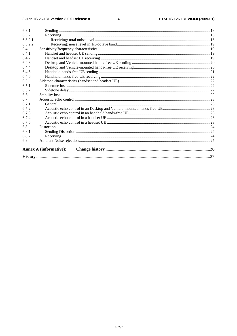#### $\overline{\mathbf{4}}$

| 6.3.1   |                               |  |
|---------|-------------------------------|--|
| 6.3.2   |                               |  |
| 6.3.2.1 |                               |  |
| 6.3.2.2 |                               |  |
| 6.4     |                               |  |
| 6.4.1   |                               |  |
| 6.4.2   |                               |  |
| 6.4.3   |                               |  |
| 6.4.4   |                               |  |
| 6.4.5   |                               |  |
| 6.4.6   |                               |  |
| 6.5     |                               |  |
| 6.5.1   |                               |  |
| 6.5.2   |                               |  |
| 6.6     |                               |  |
| 6.7     |                               |  |
| 6.7.1   |                               |  |
| 6.7.2   |                               |  |
| 6.7.3   |                               |  |
| 6.7.4   |                               |  |
| 6.7.5   |                               |  |
| 6.8     |                               |  |
| 6.8.1   |                               |  |
| 6.8.2   |                               |  |
| 6.9     |                               |  |
|         | <b>Annex A (informative):</b> |  |
|         |                               |  |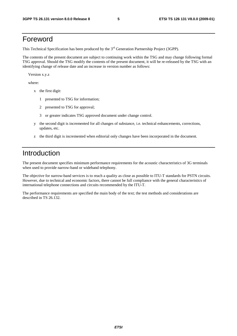# Foreword

This Technical Specification has been produced by the 3<sup>rd</sup> Generation Partnership Project (3GPP).

The contents of the present document are subject to continuing work within the TSG and may change following formal TSG approval. Should the TSG modify the contents of the present document, it will be re-released by the TSG with an identifying change of release date and an increase in version number as follows:

Version x.y.z

where:

- x the first digit:
	- 1 presented to TSG for information;
	- 2 presented to TSG for approval;
	- 3 or greater indicates TSG approved document under change control.
- y the second digit is incremented for all changes of substance, i.e. technical enhancements, corrections, updates, etc.
- z the third digit is incremented when editorial only changes have been incorporated in the document.

# Introduction

The present document specifies minimum performance requirements for the acoustic characteristics of 3G terminals when used to provide narrow-band or wideband telephony.

The objective for narrow-band services is to reach a quality as close as possible to ITU-T standards for PSTN circuits. However, due to technical and economic factors, there cannot be full compliance with the general characteristics of international telephone connections and circuits recommended by the ITU-T.

The performance requirements are specified the main body of the text; the test methods and considerations are described in TS 26.132.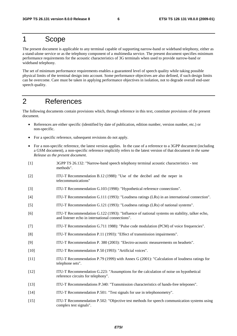## 1 Scope

The present document is applicable to any terminal capable of supporting narrow-band or wideband telephony, either as a stand-alone service or as the telephony component of a multimedia service. The present document specifies minimum performance requirements for the acoustic characteristics of 3G terminals when used to provide narrow-band or wideband telephony.

The set of minimum performance requirements enables a guaranteed level of speech quality while taking possible physical limits of the terminal design into account. Some performance objectives are also defined, if such design limits can be overcome. Care must be taken in applying performance objectives in isolation, not to degrade overall end-user speech quality.

# 2 References

The following documents contain provisions which, through reference in this text, constitute provisions of the present document.

- References are either specific (identified by date of publication, edition number, version number, etc.) or non-specific.
- For a specific reference, subsequent revisions do not apply.
- For a non-specific reference, the latest version applies. In the case of a reference to a 3GPP document (including a GSM document), a non-specific reference implicitly refers to the latest version of that document *in the same Release as the present document*.

| $[1]$  | 3GPP TS 26.132: "Narrow-band speech telephony terminal acoustic characteristics - test<br>methods".                                              |
|--------|--------------------------------------------------------------------------------------------------------------------------------------------------|
| $[2]$  | ITU-T Recommendation B.12 (1988): "Use of the decibel and the neper in<br>telecommunications"                                                    |
| $[3]$  | ITU-T Recommendation G.103 (1998): "Hypothetical reference connections".                                                                         |
| $[4]$  | ITU-T Recommendation G.111 (1993): "Loudness ratings (LRs) in an international connection".                                                      |
| $[5]$  | ITU-T Recommendation G.121 (1993): "Loudness ratings (LRs) of national systems".                                                                 |
| [6]    | ITU-T Recommendation G.122 (1993): "Influence of national systems on stability, talker echo,<br>and listener echo in international connections". |
| $[7]$  | ITU-T Recommendation G.711 1988): "Pulse code modulation (PCM) of voice frequencies".                                                            |
| [8]    | ITU-T Recommendation P.11 (1993): "Effect of transmission impairments".                                                                          |
| $[9]$  | ITU-T Recommendation P. 380 (2003): "Electro-acoustic measurements on headsets".                                                                 |
| $[10]$ | ITU-T Recommendation P.50 (1993): "Artificial voices".                                                                                           |
| $[11]$ | ITU-T Recommendation P.79 (1999) with Annex G (2001): "Calculation of loudness ratings for<br>telephone sets".                                   |
| $[12]$ | ITU-T Recommendation G.223: "Assumptions for the calculation of noise on hypothetical<br>reference circuits for telephony".                      |
| $[13]$ | ITU-T Recommendations P.340: "Transmission characteristics of hands-free telepones".                                                             |
| $[14]$ | ITU-T Recommendation P.501: "Test signals for use in telephonometry".                                                                            |
| $[15]$ | ITU-T Recommendation P.502: "Objective test methods for speech communication systems using<br>complex test signals".                             |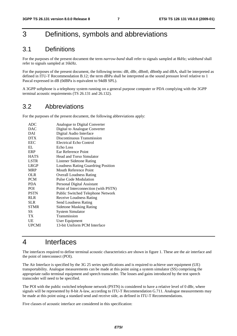# 3 Definitions, symbols and abbreviations

### 3.1 Definitions

For the purposes of the present document the term *narrow-band* shall refer to signals sampled at 8kHz; *wideband* shall refer to signals sampled at 16kHz.

For the purposes of the present document, the following terms: dB, dBr, dBm0, dBm0p and dBA, shall be interpreted as defined in ITU-T Recommendation B.12; the term dBPa shall be interpreted as the sound pressure level relative to 1 Pascal expressed in dB (0dBPa is equivalent to 94dB SPL).

A 3GPP softphone is a telephony system running on a general purpose computer or PDA complying with the 3GPP terminal acoustic requirements (TS 26.131 and 26.132).

### 3.2 Abbreviations

For the purposes of the present document, the following abbreviations apply:

| ADC         | Analogue to Digital Converter        |
|-------------|--------------------------------------|
| <b>DAC</b>  | Digital to Analogue Converter        |
| DAI         | Digital Audio Interface              |
| <b>DTX</b>  | Discontinuous Transmission           |
| <b>EEC</b>  | <b>Electrical Echo Control</b>       |
| EL          | Echo Loss                            |
| ERP         | Ear Reference Point                  |
| <b>HATS</b> | <b>Head and Torso Simulator</b>      |
| <b>LSTR</b> | Listener Sidetone Rating             |
| <b>LRGP</b> | Loudness Rating Guardring Position   |
| <b>MRP</b>  | Mouth Reference Point                |
| OLR         | <b>Overall Loudness Rating</b>       |
| <b>PCM</b>  | Pulse Code Modulation                |
| <b>PDA</b>  | Personal Digital Assistant           |
| POI         | Point of Interconnection (with PSTN) |
| <b>PSTN</b> | Public Switched Telephone Network    |
| <b>RLR</b>  | <b>Receive Loudness Rating</b>       |
| <b>SLR</b>  | Send Loudness Rating                 |
| <b>STMR</b> | <b>Sidetone Masking Rating</b>       |
| SS.         | <b>System Simulator</b>              |
| TX          | Transmission                         |
| UE          | User Equipment                       |
| UPCMI       | 13-bit Uniform PCM Interface         |
|             |                                      |

# 4 Interfaces

The interfaces required to define terminal acoustic characteristics are shown in figure 1. These are the air interface and the point of interconnect (POI).

The Air Interface is specified by the 3G 25 series specifications and is required to achieve user equipment (UE) transportability. Analogue measurements can be made at this point using a system simulator (SS) comprising the appropriate radio terminal equipment and speech transcoder. The losses and gains introduced by the test speech transcoder will need to be specified.

The POI with the public switched telephone network (PSTN) is considered to have a relative level of 0 dBr, where signals will be represented by 8-bit A-law, according to ITU-T Recommendation G.711. Analogue measurements may be made at this point using a standard send and receive side, as defined in ITU-T Recommendations.

Five classes of acoustic interface are considered in this specification: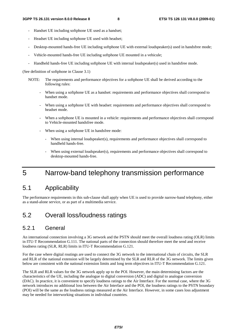- Handset UE including softphone UE used as a handset;
- Headset UE including softphone UE used with headset;
- Desktop-mounted hands-free UE including softphone UE with external loudspeaker(s) used in handsfree mode;
- Vehicle-mounted hands-free UE including softphone UE mounted in a vehicule;
- Handheld hands-free UE including softphone UE with internal loudspeaker(s) used in handsfree mode.

(See definition of softphone in Clause 3.1)

- NOTE: The requirements and performance objectives for a softphone UE shall be derived according to the following rules:
	- When using a softphone UE as a handset: requirements and performance objectives shall correspond to handset mode.
	- When using a softphone UE with headset: requirements and performance objectives shall correspond to headset mode.
	- When a softphone UE is mounted in a vehicle: requirements and performance objectives shall correspond to Vehicle-mounted handsfree mode.
	- When using a softphone UE in handsfree mode:
		- When using internal loudspeaker(s), requirements and performance objectives shall correspond to handheld hands-free.
		- When using external loudspeaker(s), requirements and performance objectives shall correspond to desktop-mounted hands-free.

# 5 Narrow-band telephony transmission performance

### 5.1 Applicability

The performance requirements in this sub-clause shall apply when UE is used to provide narrow-band telephony, either as a stand-alone service, or as part of a multimedia service.

### 5.2 Overall loss/loudness ratings

#### 5.2.1 General

An international connection involving a 3G network and the PSTN should meet the overall loudness rating (OLR) limits in ITU-T Recommendation G.111. The national parts of the connection should therefore meet the send and receive loudness rating (SLR, RLR) limits in ITU-T Recommendation G.121.

For the case where digital routings are used to connect the 3G network to the international chain of circuits, the SLR and RLR of the national extension will be largely determined by the SLR and RLR of the 3G network. The limits given below are consistent with the national extension limits and long term objectives in ITU-T Recommendation G.121.

The SLR and RLR values for the 3G network apply up to the POI. However, the main determining factors are the characteristics of the UE, including the analogue to digital conversion (ADC) and digital to analogue conversion (DAC). In practice, it is convenient to specify loudness ratings to the Air Interface. For the normal case, where the 3G network introduces no additional loss between the Air Interface and the POI, the loudness ratings to the PSTN boundary (POI) will be the same as the loudness ratings measured at the Air Interface. However, in some cases loss adjustment may be needed for interworking situations in individual countries.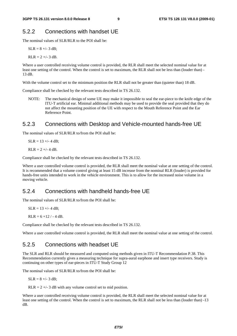### 5.2.2 Connections with handset UE

The nominal values of SLR/RLR to the POI shall be:

 $SLR = 8 +/- 3$  dB:

 $RLR = 2 +/- 3$  dB.

Where a user controlled receiving volume control is provided, the RLR shall meet the selected nominal value for at least one setting of the control. When the control is set to maximum, the RLR shall not be less than (louder than) - 13 dB.

With the volume control set to the minimum position the RLR shall not be greater than (quieter than) 18 dB.

Compliance shall be checked by the relevant tests described in TS 26.132.

NOTE: The mechanical design of some UE may make it impossible to seal the ear-piece to the knife edge of the ITU-T artificial ear. Minimal additional methods may be used to provide the seal provided that they do not affect the mounting position of the UE with respect to the Mouth Reference Point and the Ear Reference Point.

### 5.2.3 Connections with Desktop and Vehicle-mounted hands-free UE

The nominal values of SLR/RLR to/from the POI shall be:

 $SLR = 13 + (-4)$ 

 $RLR = 2 +/- 4 dB$ .

Compliance shall be checked by the relevant tests described in TS 26.132.

Where a user controlled volume control is provided, the RLR shall meet the nominal value at one setting of the control. It is recommended that a volume control giving at least 15 dB increase from the nominal RLR (louder) is provided for hands-free units intended to work in the vehicle environment. This is to allow for the increased noise volume in a moving vehicle.

#### 5.2.4 Connections with handheld hands-free UE

The nominal values of SLR/RLR to/from the POI shall be:

 $SLR = 13 + (-4)$ 

 $RLR = 6 + 12 / - 4 dB$ .

Compliance shall be checked by the relevant tests described in TS 26.132.

Where a user controlled volume control is provided, the RLR shall meet the nominal value at one setting of the control.

### 5.2.5 Connections with headset UE

The SLR and RLR should be measured and computed using methods given in ITU-T Recommendation P.38. This Recommendation currently gives a measuring technique for supra-aural earphone and insert type receivers. Study is continuing on other types of ear-pieces in ITU-T Study Group 12

The nominal values of SLR/RLR to/from the POI shall be:

 $SLR = 8 + (-3)$  dB;

 $RLR = 2 +/- 3$  dB with any volume control set to mid position.

Where a user controlled receiving volume control is provided, the RLR shall meet the selected nominal value for at least one setting of the control. When the control is set to maximum, the RLR shall not be less than (louder than) -13 dB.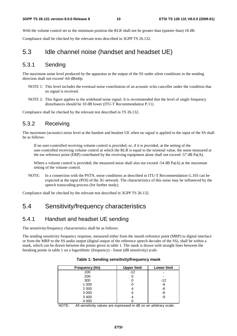With the volume control set to the minimum position the RLR shall not be greater than (quieter than) 18 dB.

Compliance shall be checked by the relevant tests described in 3GPP TS 26.132.

### 5.3 Idle channel noise (handset and headset UE)

### 5.3.1 Sending

The maximum noise level produced by the apparatus at the output of the SS under silent conditions in the sending direction shall not exceed -64 dBm0p.

- NOTE 1: This level includes the eventual noise contribution of an acoustic echo canceller under the condition that no signal is received.
- NOTE 2: This figure applies to the wideband noise signal. It is recommended that the level of single frequency disturbances should be 10 dB lower (ITU-T Recommendation P.11).

Compliance shall be checked by the relevant test described in TS 26.132.

#### 5.3.2 Receiving

The maximum (acoustic) noise level at the handset and headset UE when no signal is applied to the input of the SS shall be as follows:

 If no user-controlled receiving volume control is provided, or, if it is provided, at the setting of the user-controlled receiving volume control at which the RLR is equal to the nominal value, the noise measured at the ear reference point (ERP) contributed by the receiving equipment alone shall not exceed -57 dB Pa(A).

Where a volume control is provided, the measured noise shall also not exceed -54 dB Pa(A) at the maximum setting of the volume control.

NOTE: In a connection with the PSTN, noise conditions as described in ITU-T Recommendation G.103 can be expected at the input (POI) of the 3G network. The characteristics of this noise may be influenced by the speech transcoding process (for further study).

Compliance shall be checked by the relevant test described in 3GPP TS 26.132.

### 5.4 Sensitivity/frequency characteristics

#### 5.4.1 Handset and headset UE sending

The sensitivity/frequency characteristics shall be as follows:

The sending sensitivity frequency response, measured either from the mouth reference point (MRP) to digital interface or from the MRP to the SS audio output (digital output of the reference speech decoder of the SS), shall be within a mask, which can be drawn between the points given in table 1. The mask is drawn with straight lines between the breaking points in table 1 on a logarithmic (frequency) - linear (dB sensitivity) scale.

| <b>Frequency (Hz)</b> | <b>Upper limit</b> | <b>Lower limit</b> |
|-----------------------|--------------------|--------------------|
| 100                   | $-12$              |                    |
| 200                   |                    |                    |
| 300                   |                    | $-12$              |
| 1 000                 |                    | -6                 |
| 2 0 0 0               |                    | -6                 |
| 3 0 0 0               |                    | -6                 |
| 3 4 0 0               |                    | -9                 |
| 4 0 0 0               |                    |                    |

**Table 1: Sending sensitivity/frequency mask** 

NOTE: All sensitivity values are expressed in dB on an arbitrary scale.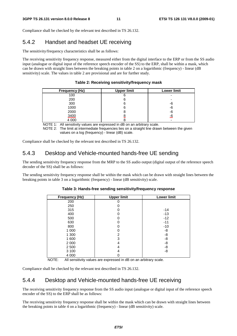Compliance shall be checked by the relevant test described in TS 26.132.

### 5.4.2 Handset and headset UE receiving

The sensitivity/frequency characteristics shall be as follows:

The receiving sensitivity frequency response, measured either from the digital interface to the ERP or from the SS audio input (analogue or digital input of the reference speech encoder of the SS) to the ERP, shall be within a mask, which can be drawn with straight lines between the breaking points in table 2 on a logarithmic (frequency) - linear (dB sensitivity) scale. The values in table 2 are provisional and are for further study.

|  |  | Table 2: Receiving sensitivity/frequency mask |  |  |  |  |
|--|--|-----------------------------------------------|--|--|--|--|
|--|--|-----------------------------------------------|--|--|--|--|

| <b>Frequency (Hz)</b> | <b>Upper limit</b> | <b>Lower limit</b> |
|-----------------------|--------------------|--------------------|
| 100                   |                    |                    |
| 200                   |                    |                    |
| 300                   |                    | -6                 |
| 1000                  |                    | -6                 |
| 2000                  |                    | -6                 |
| 3400                  |                    | -6                 |
| 4 0 0 0               |                    |                    |

NOTE 1: All sensitivity values are expressed in dB on an arbitrary scale.

NOTE 2: The limit at intermediate frequencies lies on a straight line drawn between the given values on a log (frequency) - linear (dB) scale.

Compliance shall be checked by the relevant test described in TS 26.132.

#### 5.4.3 Desktop and Vehicle-mounted hands-free UE sending

The sending sensitivity frequency response from the MRP to the SS audio output (digital output of the reference speech decoder of the SS) shall be as follows:

The sending sensitivity frequency response shall be within the mask which can be drawn with straight lines between the breaking points in table 3 on a logarithmic (frequency) - linear (dB sensitivity) scale.

| <b>Frequency (Hz)</b> | <b>Upper limit</b> | <b>Lower limit</b> |
|-----------------------|--------------------|--------------------|
| 200                   |                    |                    |
| 250                   |                    |                    |
| 315                   |                    | $-14$              |
| 400                   |                    | $-13$              |
| 500                   |                    | $-12$              |
| 630                   |                    | $-11$              |
| 800                   |                    | $-10$              |
| 1 000                 |                    | -8                 |
| 1 300                 | 2                  | -8                 |
| 1 600                 | З                  | -8                 |
| 2 0 0 0               | 4                  | -8                 |
| 2 500                 |                    | -8                 |
| 3 1 0 0               |                    | -8                 |
| 4 0 0 0               |                    |                    |

#### **Table 3: Hands-free sending sensitivity/frequency response**

NOTE: All sensitivity values are expressed in dB on an arbitrary scale.

Compliance shall be checked by the relevant test described in TS 26.132.

### 5.4.4 Desktop and Vehicle-mounted hands-free UE receiving

The receiving sensitivity frequency response from the SS audio input (analogue or digital input of the reference speech encoder of the SS) to the ERP shall be as follows:

The receiving sensitivity frequency response shall be within the mask which can be drawn with straight lines between the breaking points in table 4 on a logarithmic (frequency) - linear (dB sensitivity) scale.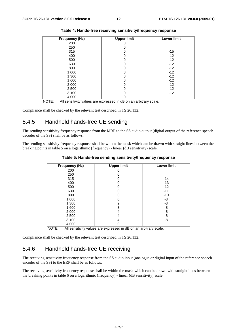| Frequency (Hz) | <b>Upper limit</b> | <b>Lower limit</b> |
|----------------|--------------------|--------------------|
| 200            |                    |                    |
| 250            |                    |                    |
| 315            |                    | $-15$              |
| 400            |                    | $-12$              |
| 500            |                    | $-12$              |
| 630            |                    | $-12$              |
| 800            |                    | $-12$              |
| 1 0 0 0        |                    | $-12$              |
| 1 300          |                    | $-12$              |
| 1 600          |                    | $-12$              |
| 2 0 0 0        |                    | $-12$              |
| 2 500          |                    | $-12$              |
| 3 100          |                    | $-12$              |
| 4 0 0 0        |                    |                    |

NOTE: All sensitivity values are expressed in dB on an arbitrary scale.

Compliance shall be checked by the relevant test described in TS 26.132.

#### 5.4.5 Handheld hands-free UE sending

The sending sensitivity frequency response from the MRP to the SS audio output (digital output of the reference speech decoder of the SS) shall be as follows:

The sending sensitivity frequency response shall be within the mask which can be drawn with straight lines between the breaking points in table 5 on a logarithmic (frequency) - linear (dB sensitivity) scale.

| <b>Frequency (Hz)</b> | <b>Upper limit</b> | <b>Lower limit</b> |
|-----------------------|--------------------|--------------------|
| 200                   |                    |                    |
| 250                   |                    |                    |
| 315                   |                    | -14                |
| 400                   |                    | $-13$              |
| 500                   |                    | $-12$              |
| 630                   |                    | $-11$              |
| 800                   |                    | $-10$              |
| 1 0 0 0               |                    | -8                 |
| 1 300                 | 2                  | -8                 |
| 1 600                 | 3                  | -8                 |
| 2 0 0 0               | 4                  | -8                 |
| 2 5 0 0               | 4                  | -8                 |
| 3 1 0 0               | 4                  | -8                 |
| 4 0 0 0               |                    |                    |

**Table 5: Hands-free sending sensitivity/frequency response** 

NOTE: All sensitivity values are expressed in dB on an arbitrary scale.

Compliance shall be checked by the relevant test described in TS 26.132.

#### 5.4.6 Handheld hands-free UE receiving

The receiving sensitivity frequency response from the SS audio input (analogue or digital input of the reference speech encoder of the SS) to the ERP shall be as follows:

The receiving sensitivity frequency response shall be within the mask which can be drawn with straight lines between the breaking points in table 6 on a logarithmic (frequency) - linear (dB sensitivity) scale.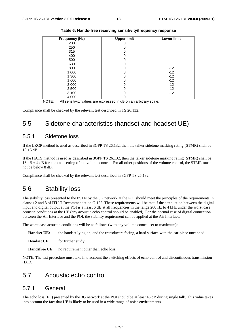| <b>Frequency (Hz)</b> | <b>Upper limit</b> | <b>Lower limit</b> |
|-----------------------|--------------------|--------------------|
| 200                   |                    |                    |
| 250                   |                    |                    |
| 315                   | 0                  |                    |
| 400                   |                    |                    |
| 500                   |                    |                    |
| 630                   |                    |                    |
| 800                   | 0                  | $-12$              |
| 1 0 0 0               |                    | $-12$              |
| 1 300                 | 0                  | $-12$              |
| 1 600                 | 0                  | $-12$              |
| 2 0 0 0               | 0                  | $-12$              |
| 2 500                 |                    | $-12$              |
| 3 100                 | 0                  | $-12$              |
| 4 0 0 0               | 0                  |                    |

**Table 6: Hands-free receiving sensitivity/frequency response** 

NOTE: All sensitivity values are expressed in dB on an arbitrary scale.

Compliance shall be checked by the relevant test described in TS 26.132.

### 5.5 Sidetone characteristics (handset and headset UE)

#### 5.5.1 Sidetone loss

If the LRGP method is used as described in 3GPP TS 26.132, then the talker sidetone masking rating (STMR) shall be  $18 + 5$  dB.

If the HATS method is used as described in 3GPP TS 26.132, then the talker sidetone masking rating (STMR) shall be  $16 dB \pm 4 dB$  for nominal setting of the volume control. For all other positions of the volume control, the STMR must not be below 8 dB.

Compliance shall be checked by the relevant test described in 3GPP TS 26.132.

### 5.6 Stability loss

The stability loss presented to the PSTN by the 3G network at the POI should meet the principles of the requirements in clauses 2 and 3 of ITU-T Recommendation G.122. These requirements will be met if the attenuation between the digital input and digital output at the POI is at least 6 dB at all frequencies in the range 200 Hz to 4 kHz under the worst case acoustic conditions at the UE (any acoustic echo control should be enabled). For the normal case of digital connection between the Air Interface and the POI, the stability requirement can be applied at the Air Interface.

The worst case acoustic conditions will be as follows (with any volume control set to maximum):

**Handset UE:** the handset lying on, and the transducers facing, a hard surface with the ear-piece uncapped.

**Headset UE:** for further study

**Handsfree UE:** no requirement other than echo loss.

NOTE: The test procedure must take into account the switching effects of echo control and discontinuous transmission (DTX).

### 5.7 Acoustic echo control

#### 5.7.1 General

The echo loss (EL) presented by the 3G network at the POI should be at least 46 dB during single talk. This value takes into account the fact that UE is likely to be used in a wide range of noise environments.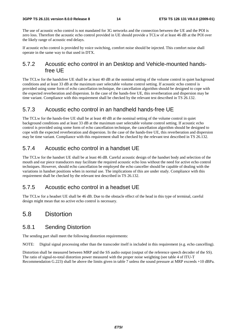The use of acoustic echo control is not mandated for 3G networks and the connection between the UE and the POI is zero loss. Therefore the acoustic echo control provided in UE should provide a TCLw of at least 46 dB at the POI over the likely range of acoustic end delays.

If acoustic echo control is provided by voice switching, comfort noise should be injected. This comfort noise shall operate in the same way to that used in DTX.

#### 5.7.2 Acoustic echo control in an Desktop and Vehicle-mounted handsfree UE

The TCLw for the handsfree UE shall be at least 40 dB at the nominal setting of the volume control in quiet background conditions and at least 33 dB at the maximum user selectable volume control setting. If acoustic echo control is provided using some form of echo cancellation technique, the cancellation algorithm should be designed to cope with the expected reverberation and dispersion. In the case of the hands-free UE, this reverberation and dispersion may be time variant. Compliance with this requirement shall be checked by the relevant test described in TS 26.132.

### 5.7.3 Acoustic echo control in an handheld hands-free UE

The TCLw for the hands-free UE shall be at least 40 dB at the nominal setting of the volume control in quiet background conditions and at least 33 dB at the maximum user selectable volume control setting. If acoustic echo control is provided using some form of echo cancellation technique, the cancellation algorithm should be designed to cope with the expected reverberation and dispersion. In the case of the hands-free UE, this reverberation and dispersion may be time variant. Compliance with this requirement shall be checked by the relevant test described in TS 26.132.

### 5.7.4 Acoustic echo control in a handset UE

The TCLw for the handset UE shall be at least 46 dB. Careful acoustic design of the handset body and selection of the mouth and ear piece transducers may facilitate the required acoustic echo loss without the need for active echo control techniques. However, should echo cancellation be employed the echo canceller should be capable of dealing with the variations in handset positions when in normal use. The implications of this are under study. Compliance with this requirement shall be checked by the relevant test described in TS 26.132.

### 5.7.5 Acoustic echo control in a headset UE

The TCLw for a headset UE shall be 46 dB. Due to the obstacle effect of the head in this type of terminal, careful design might mean that no active echo control is necessary.

### 5.8 Distortion

### 5.8.1 Sending Distortion

The sending part shall meet the following distortion requirements:

NOTE: Digital signal processing other than the transcoder itself is included in this requirement (e.g. echo cancelling).

Distortion shall be measured between MRP and the SS audio output (output of the reference speech decoder of the SS). The ratio of signal-to-total distortion power measured with the proper noise weighting (see table 4 of ITU-T Recommendation G.223) shall be above the limits given in table 7 unless the sound pressure at MRP exceeds +10 dBPa.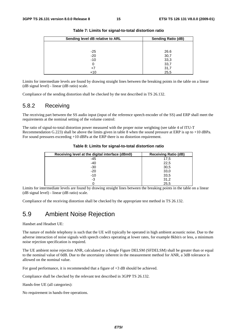| Sending level dB relative to ARL | <b>Sending Ratio (dB)</b> |
|----------------------------------|---------------------------|
|                                  |                           |
| $-25$                            | 26.6                      |
| $-20$                            | 30,7                      |
| $-10$                            | 33,3                      |
| 0                                | 33,7                      |
| +7                               | 31,7                      |
| $+10$                            | 25,5                      |

**Table 7: Limits for signal-to-total distortion ratio** 

Limits for intermediate levels are found by drawing straight lines between the breaking points in the table on a linear (dB signal level) - linear (dB ratio) scale.

Compliance of the sending distortion shall be checked by the test described in TS 26.132.

### 5.8.2 Receiving

The receiving part between the SS audio input (input of the reference speech encoder of the SS) and ERP shall meet the requirements at the nominal setting of the volume control:

The ratio of signal-to-total distortion power measured with the proper noise weighting (see table 4 of ITU-T Recommendation G.223) shall be above the limits given in table 8 when the sound pressure at ERP is up to +10 dBPa. For sound pressures exceeding +10 dBPa at the ERP there is no distortion requirement.

| Receiving level at the digital interface (dBm0) | <b>Receiving Ratio (dB)</b> |
|-------------------------------------------------|-----------------------------|
| -45                                             | 17,5                        |
| $-40$                                           | 22,5                        |
| $-30$                                           | 30,5                        |
| $-20$                                           | 33,0                        |
| $-10$                                           | 33,5                        |
| -3                                              | 31,2                        |
|                                                 | 25,5                        |

**Table 8: Limits for signal-to-total distortion ratio** 

Limits for intermediate levels are found by drawing straight lines between the breaking points in the table on a linear (dB signal level) - linear (dB ratio) scale.

Compliance of the receiving distortion shall be checked by the appropriate test method in TS 26.132.

### 5.9 Ambient Noise Rejection

Handset and Headset UE:

The nature of mobile telephony is such that the UE will typically be operated in high ambient acoustic noise. Due to the adverse interaction of noise signals with speech codecs operating at lower rates, for example 8kbit/s or less, a minimum noise rejection specification is required.

The UE ambient noise rejection ANR, calculated as a Single Figure DELSM (SFDELSM) shall be greater than or equal to the nominal value of 0dB. Due to the uncertainty inherent in the measurement method for ANR, a 3dB tolerance is allowed on the nominal value.

For good performance, it is recommended that a figure of +3 dB should be achieved.

Compliance shall be checked by the relevant test described in 3GPP TS 26.132.

Hands-free UE (all categories):

No requirement in hands-free operations.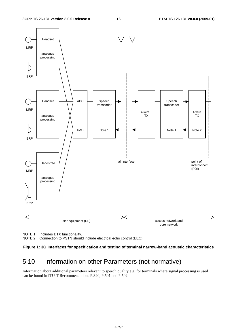

NOTE 1: Includes DTX functionality.

NOTE 2: Connection to PSTN should include electrical echo control (EEC).

#### **Figure 1: 3G Interfaces for specification and testing of terminal narrow-band acoustic characteristics**

# 5.10 Information on other Parameters (not normative)

Information about additional parameters relevant to speech quality e.g. for terminals where signal processing is used can be found in ITU-T Recommendations P.340, P.501 and P.502.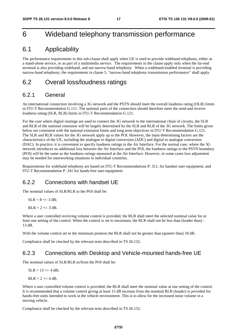# 6 Wideband telephony transmission performance

### 6.1 Applicability

The performance requirements in this sub-clause shall apply when UE is used to provide wideband telephony, either as a stand-alone service, or as part of a multimedia service. The requirements in the clause apply only when the far-end terminal is also providing wideband, and not narrow-band telephony. When a wideband-enabled terminal is providing narrow-band telephony, the requirements in clause 5, "narrow-band telephony transmission performance" shall apply.

### 6.2 Overall loss/loudness ratings

### 6.2.1 General

An international connection involving a 3G network and the PSTN should meet the overall loudness rating (OLR) limits in ITU-T Recommendation G.111. The national parts of the connection should therefore meet the send and receive loudness rating (SLR, RLR) limits in ITU-T Recommendation G.121.

For the case where digital routings are used to connect the 3G network to the international chain of circuits, the SLR and RLR of the national extension will be largely determined by the SLR and RLR of the 3G network. The limits given below are consistent with the national extension limits and long term objectives in ITU-T Recommendation G.121. The SLR and RLR values for the 3G network apply up to the POI. However, the main determining factors are the characteristics of the UE, including the analogue to digital conversion (ADC) and digital to analogue conversion (DAC). In practice, it is convenient to specify loudness ratings to the Air Interface. For the normal case, where the 3G network introduces no additional loss between the Air Interface and the POI, the loudness ratings to the PSTN boundary (POI) will be the same as the loudness ratings measured at the Air Interface. However, in some cases loss adjustment may be needed for interworking situations in individual countries.

Requirements for wideband telephony are based on ITU-T Recommendations P. 311, for handset user-equipment, and ITU-T Recommendation P. 341 for hands-free user-equipment.

#### 6.2.2 Connections with handset UE

The nominal values of SLR/RLR to the POI shall be:

SLR = 
$$
8 +/- 3
$$
 dB;

 $RLR = 2 +/- 3 dB$ .

Where a user controlled receiving volume control is provided, the RLR shall meet the selected nominal value for at least one setting of the control. When the control is set to maximum, the RLR shall not be less than (louder than) - 13 dB.

With the volume control set to the minimum position the RLR shall not be greater than (quieter than) 18 dB.

Compliance shall be checked by the relevant tests described in TS 26.132.

### 6.2.3 Connections with Desktop and Vehicle-mounted hands-free UE

The nominal values of SLR/RLR to/from the POI shall be:

 $SLR = 13 + (-4)$ 

 $RLR = 2 + (-4)$ 

Where a user controlled volume control is provided, the RLR shall meet the nominal value at one setting of the control. It is recommended that a volume control giving at least 15 dB increase from the nominal RLR (louder) is provided for hands-free units intended to work in the vehicle environment. This is to allow for the increased noise volume in a moving vehicle.

Compliance shall be checked by the relevant tests described in TS 26.132.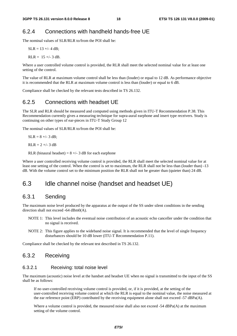### 6.2.4 Connections with handheld hands-free UE

The nominal values of SLR/RLR to/from the POI shall be:

 $SLR = 13 + (-4)$ 

RLR =  $15 +/- 3$  dB.

Where a user controlled volume control is provided, the RLR shall meet the selected nominal value for at least one setting of the control.

The value of RLR at maximum volume control shall be less than (louder) or equal to 12 dB. As performance objective it is recommended that the RLR at maximum volume control is less than (louder) or equal to 6 dB.

Compliance shall be checked by the relevant tests described in TS 26.132.

#### 6.2.5 Connections with headset UE

The SLR and RLR should be measured and computed using methods given in ITU-T Recommendation P.38. This Recommendation currently gives a measuring technique for supra-aural earphone and insert type receivers. Study is continuing on other types of ear-pieces in ITU-T Study Group 12

The nominal values of SLR/RLR to/from the POI shall be:

 $SLR = 8 +/- 3$  dB:

 $RLR = 2 +/-3 dB$ 

RLR (binaural headset) =  $8 +/- 3$  dB for each earphone

Where a user controlled receiving volume control is provided, the RLR shall meet the selected nominal value for at least one setting of the control. When the control is set to maximum, the RLR shall not be less than (louder than) -13 dB. With the volume control set to the minimum position the RLR shall not be greater than (quieter than) 24 dB.

### 6.3 Idle channel noise (handset and headset UE)

#### 6.3.1 Sending

The maximum noise level produced by the apparatus at the output of the SS under silent conditions in the sending direction shall not exceed -64 dBm0(A).

- NOTE 1: This level includes the eventual noise contribution of an acoustic echo canceller under the condition that no signal is received.
- NOTE 2: This figure applies to the wideband noise signal. It is recommended that the level of single frequency disturbances should be 10 dB lower (ITU-T Recommendation P.11).

Compliance shall be checked by the relevant test described in TS 26.132.

#### 6.3.2 Receiving

#### 6.3.2.1 Receiving: total noise level

The maximum (acoustic) noise level at the handset and headset UE when no signal is transmitted to the input of the SS shall be as follows:

 If no user-controlled receiving volume control is provided, or, if it is provided, at the setting of the user-controlled receiving volume control at which the RLR is equal to the nominal value, the noise measured at the ear reference point (ERP) contributed by the receiving equipment alone shall not exceed -57 dBPa(A).

Where a volume control is provided, the measured noise shall also not exceed  $-54$  dBPa(A) at the maximum setting of the volume control.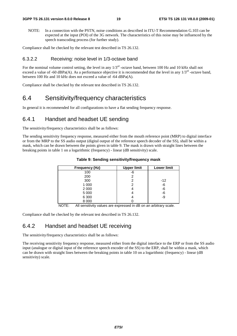NOTE: In a connection with the PSTN, noise conditions as described in ITU-T Recommendation G.103 can be expected at the input (POI) of the 3G network. The characteristics of this noise may be influenced by the speech transcoding process (for further study).

Compliance shall be checked by the relevant test described in TS 26.132.

#### 6.3.2.2 Receiving: noise level in 1/3-octave band

For the nominal volume control setting, the level in any  $1/3<sup>rd</sup>$  -octave band, between 100 Hz and 10 kHz shall not exceed a value of -60 dBPa(A). As a performance objective it is recommended that the level in any  $1/3^{rd}$  -octave band, between 100 Hz and 10 kHz does not exceed a value of -64 dBPa(A).

Compliance shall be checked by the relevant test described in TS 26.132.

### 6.4 Sensitivity/frequency characteristics

In general it is recommended for all configurations to have a flat sending frequency response.

#### 6.4.1 Handset and headset UE sending

The sensitivity/frequency characteristics shall be as follows:

The sending sensitivity frequency response, measured either from the mouth reference point (MRP) to digital interface or from the MRP to the SS audio output (digital output of the reference speech decoder of the SS), shall be within a mask, which can be drawn between the points given in table 9. The mask is drawn with straight lines between the breaking points in table 1 on a logarithmic (frequency) - linear (dB sensitivity) scale.

| Frequency (Hz) | <b>Upper limit</b> | <b>Lower limit</b> |
|----------------|--------------------|--------------------|
| 100            | -6                 |                    |
| 200            | 2                  |                    |
| 300            | 2                  | $-12$              |
| 1 0 0 0        | 2                  | $-6$               |
| 2 0 0 0        |                    | -6                 |
| 5 0 0 0        |                    | $-6$               |
| 6 300          |                    | -9                 |
| 8 0 0 0        |                    |                    |

**Table 9: Sending sensitivity/frequency mask** 

NOTE: All sensitivity values are expressed in dB on an arbitrary scale.

Compliance shall be checked by the relevant test described in TS 26.132.

### 6.4.2 Handset and headset UE receiving

The sensitivity/frequency characteristics shall be as follows:

The receiving sensitivity frequency response, measured either from the digital interface to the ERP or from the SS audio input (analogue or digital input of the reference speech encoder of the SS) to the ERP, shall be within a mask, which can be drawn with straight lines between the breaking points in table 10 on a logarithmic (frequency) - linear (dB sensitivity) scale.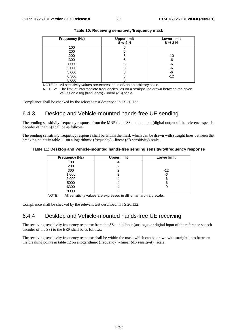| <b>Frequency (Hz)</b> | <b>Upper limit</b><br>$8 +/-2$ N | <b>Lower limit</b><br>$8 +/-2$ N |
|-----------------------|----------------------------------|----------------------------------|
| 100                   | 6                                |                                  |
| 200                   | 6                                |                                  |
| 200                   | 6                                | -10                              |
| 300                   | 6                                | -6                               |
| 1 000                 | 6                                | -6                               |
| 2 0 0 0               | 8                                | -6                               |
| 5 0 0 0               | 8                                | -6                               |
| 6 300                 | 8                                | $-12$                            |
| 8 0 0 0               | 8                                |                                  |

**Table 10: Receiving sensitivity/frequency mask** 

NOTE 1: All sensitivity values are expressed in dB on an arbitrary scale.

NOTE 2: The limit at intermediate frequencies lies on a straight line drawn between the given values on a log (frequency) - linear (dB) scale.

Compliance shall be checked by the relevant test described in TS 26.132.

### 6.4.3 Desktop and Vehicle-mounted hands-free UE sending

The sending sensitivity frequency response from the MRP to the SS audio output (digital output of the reference speech decoder of the SS) shall be as follows:

The sending sensitivity frequency response shall be within the mask which can be drawn with straight lines between the breaking points in table 11 on a logarithmic (frequency) - linear (dB sensitivity) scale.

#### **Table 11: Desktop and Vehicle-mounted hands-free sending sensitivity/frequency response**

| <b>Frequency (Hz)</b> | <b>Upper limit</b> | <b>Lower limit</b> |
|-----------------------|--------------------|--------------------|
| 100                   | -6                 |                    |
| 200                   |                    |                    |
| 300                   |                    | $-12$              |
| 1 0 0 0               |                    | -6                 |
| 2 0 0 0               |                    | -6                 |
| 5000                  |                    | -6                 |
| 6300                  |                    | -9                 |
| 8000                  |                    |                    |

NOTE: All sensitivity values are expressed in dB on an arbitrary scale.

Compliance shall be checked by the relevant test described in TS 26.132.

### 6.4.4 Desktop and Vehicle-mounted hands-free UE receiving

The receiving sensitivity frequency response from the SS audio input (analogue or digital input of the reference speech encoder of the SS) to the ERP shall be as follows:

The receiving sensitivity frequency response shall be within the mask which can be drawn with straight lines between the breaking points in table 12 on a logarithmic (frequency) - linear (dB sensitivity) scale.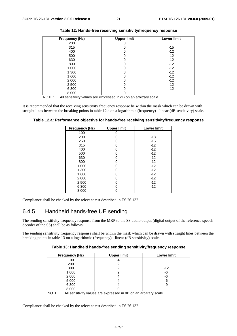| Frequency (Hz) | <b>Upper limit</b> | <b>Lower limit</b> |
|----------------|--------------------|--------------------|
| 200            |                    |                    |
| 315            |                    | $-15$              |
| 400            |                    | $-12$              |
| 500            |                    | $-12$              |
| 630            |                    | $-12$              |
| 800            |                    | $-12$              |
| 1 0 0 0        |                    | $-12$              |
| 1 300          |                    | $-12$              |
| 1 600          |                    | $-12$              |
| 2 0 0 0        |                    | $-12$              |
| 2 500          |                    | $-12$              |
| 6 3 0 0        |                    | $-12$              |
| 8 0 0 0        |                    |                    |

**Table 12: Hands-free receiving sensitivity/frequency response** 

NOTE: All sensitivity values are expressed in dB on an arbitrary scale.

It is recommended that the receiving sensitivity frequency response be within the mask which can be drawn with straight lines between the breaking points in table 12.a on a logarithmic (frequency) - linear (dB sensitivity) scale.

| Table 12.a: Performance objective for hands-free receiving sensitivity/frequency response |  |  |
|-------------------------------------------------------------------------------------------|--|--|
|                                                                                           |  |  |

| Frequency (Hz) | <b>Upper limit</b> | <b>Lower limit</b> |
|----------------|--------------------|--------------------|
| 100            |                    |                    |
| 200            |                    | -18                |
| 250            | O                  | $-15$              |
| 315            | 0                  | $-12$              |
| 400            | O                  | $-12$              |
| 500            | 0                  | $-12$              |
| 630            | U                  | $-12$              |
| 800            | ი                  | $-12$              |
| 1 0 0 0        | O                  | $-12$              |
| 1 300          | O                  | $-12$              |
| 1 600          | ი                  | $-12$              |
| 2 0 0 0        | 0                  | $-12$              |
| 2 500          | 0                  | $-12$              |
| 6 300          |                    | $-12$              |
| 8 0 0 0        |                    |                    |

Compliance shall be checked by the relevant test described in TS 26.132.

### 6.4.5 Handheld hands-free UE sending

The sending sensitivity frequency response from the MRP to the SS audio output (digital output of the reference speech decoder of the SS) shall be as follows:

The sending sensitivity frequency response shall be within the mask which can be drawn with straight lines between the breaking points in table 13 on a logarithmic (frequency) - linear (dB sensitivity) scale.

| Table 13: Handheld hands-free sending sensitivity/frequency response |  |
|----------------------------------------------------------------------|--|
|----------------------------------------------------------------------|--|

| <b>Frequency (Hz)</b> | <b>Upper limit</b> | <b>Lower limit</b> |
|-----------------------|--------------------|--------------------|
| 100                   | -6                 |                    |
| 200                   |                    |                    |
| 300                   |                    | $-12$              |
| 1 0 0 0               |                    | -6                 |
| 2 0 0 0               |                    | -6                 |
| 5 0 0 0               |                    | -6                 |
| 6 3 0 0               |                    | -9                 |
| 8 0 0 0               |                    |                    |

NOTE: All sensitivity values are expressed in dB on an arbitrary scale.

Compliance shall be checked by the relevant test described in TS 26.132.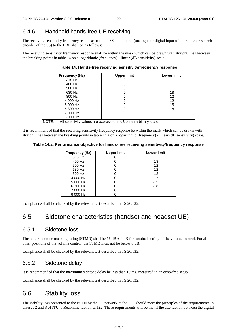### 6.4.6 Handheld hands-free UE receiving

The receiving sensitivity frequency response from the SS audio input (analogue or digital input of the reference speech encoder of the SS) to the ERP shall be as follows:

The receiving sensitivity frequency response shall be within the mask which can be drawn with straight lines between the breaking points in table 14 on a logarithmic (frequency) - linear (dB sensitivity) scale.

**Table 14: Hands-free receiving sensitivity/frequency response** 

| Frequency (Hz) | <b>Upper limit</b> | <b>Lower limit</b> |
|----------------|--------------------|--------------------|
| 315 Hz         |                    |                    |
| 400 Hz         |                    |                    |
| 500 Hz         |                    |                    |
| 630 Hz         |                    | -18                |
| 800 Hz         | Ü                  | $-12$              |
| 4 000 Hz       | U                  | $-12$              |
| 5 000 Hz       |                    | $-15$              |
| 6 300 Hz       |                    | $-18$              |
| 7 000 Hz       |                    |                    |
| 8 000 Hz       |                    |                    |

NOTE: All sensitivity values are expressed in dB on an arbitrary scale.

It is recommended that the receiving sensitivity frequency response be within the mask which can be drawn with straight lines between the breaking points in table 14.a on a logarithmic (frequency) - linear (dB sensitivity) scale.

**Table 14.a: Performance objective for hands-free receiving sensitivity/frequency response** 

| Frequency (Hz) | <b>Upper limit</b> | <b>Lower limit</b> |
|----------------|--------------------|--------------------|
| 315 Hz         |                    |                    |
| 400 Hz         |                    | -18                |
| 500 Hz         |                    | $-12$              |
| 630 Hz         |                    | $-12$              |
| 800 Hz         |                    | $-12$              |
| 4 000 Hz       |                    | $-12$              |
| 5 000 Hz       |                    | $-15$              |
| 6 300 Hz       |                    | $-18$              |
| 7 000 Hz       |                    |                    |
| 8 000 Hz       |                    |                    |

Compliance shall be checked by the relevant test described in TS 26.132.

### 6.5 Sidetone characteristics (handset and headset UE)

#### 6.5.1 Sidetone loss

The talker sidetone masking rating (STMR) shall be  $16 dB \pm 4 dB$  for nominal setting of the volume control. For all other positions of the volume control, the STMR must not be below 8 dB.

Compliance shall be checked by the relevant test described in TS 26.132.

### 6.5.2 Sidetone delay

It is recommended that the maximum sidetone delay be less than 10 ms, measured in an echo-free setup.

Compliance shall be checked by the relevant test described in TS 26.132.

### 6.6 Stability loss

The stability loss presented to the PSTN by the 3G network at the POI should meet the principles of the requirements in clauses 2 and 3 of ITU-T Recommendation G.122. These requirements will be met if the attenuation between the digital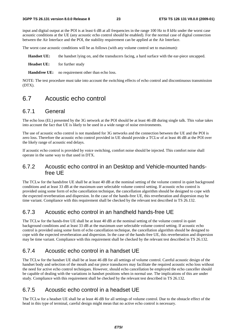input and digital output at the POI is at least 6 dB at all frequencies in the range 100 Hz to 8 kHz under the worst case acoustic conditions at the UE (any acoustic echo control should be enabled). For the normal case of digital connection between the Air Interface and the POI, the stability requirement can be applied at the Air Interface.

The worst case acoustic conditions will be as follows (with any volume control set to maximum):

**Handset UE:** the handset lying on, and the transducers facing, a hard surface with the ear-piece uncapped.

**Headset UE:** for further study

**Handsfree UE:** no requirement other than echo loss.

NOTE: The test procedure must take into account the switching effects of echo control and discontinuous transmission (DTX).

### 6.7 Acoustic echo control

#### 6.7.1 General

The echo loss (EL) presented by the 3G network at the POI should be at least 46 dB during single talk. This value takes into account the fact that UE is likely to be used in a wide range of noise environments.

The use of acoustic echo control is not mandated for 3G networks and the connection between the UE and the POI is zero loss. Therefore the acoustic echo control provided in UE should provide a TCLw of at least 46 dB at the POI over the likely range of acoustic end delays.

If acoustic echo control is provided by voice switching, comfort noise should be injected. This comfort noise shall operate in the same way to that used in DTX.

#### 6.7.2 Acoustic echo control in an Desktop and Vehicle-mounted handsfree UE

The TCLw for the handsfree UE shall be at least 40 dB at the nominal setting of the volume control in quiet background conditions and at least 33 dB at the maximum user selectable volume control setting. If acoustic echo control is provided using some form of echo cancellation technique, the cancellation algorithm should be designed to cope with the expected reverberation and dispersion. In the case of the hands-free UE, this reverberation and dispersion may be time variant. Compliance with this requirement shall be checked by the relevant test described in TS 26.132.

### 6.7.3 Acoustic echo control in an handheld hands-free UE

The TCLw for the hands-free UE shall be at least 40 dB at the nominal setting of the volume control in quiet background conditions and at least 33 dB at the maximum user selectable volume control setting. If acoustic echo control is provided using some form of echo cancellation technique, the cancellation algorithm should be designed to cope with the expected reverberation and dispersion. In the case of the hands-free UE, this reverberation and dispersion may be time variant. Compliance with this requirement shall be checked by the relevant test described in TS 26.132.

### 6.7.4 Acoustic echo control in a handset UE

The TCLw for the handset UE shall be at least 46 dB for all settings of volume control. Careful acoustic design of the handset body and selection of the mouth and ear piece transducers may facilitate the required acoustic echo loss without the need for active echo control techniques. However, should echo cancellation be employed the echo canceller should be capable of dealing with the variations in handset positions when in normal use. The implications of this are under study. Compliance with this requirement shall be checked by the relevant test described in TS 26.132.

### 6.7.5 Acoustic echo control in a headset UE

The TCLw for a headset UE shall be at least 46 dB for all settings of volume control. Due to the obstacle effect of the head in this type of terminal, careful design might mean that no active echo control is necessary.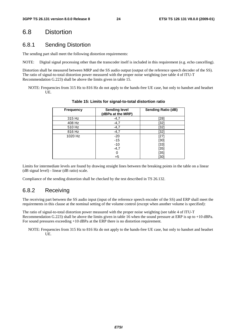### 6.8 Distortion

#### 6.8.1 Sending Distortion

The sending part shall meet the following distortion requirements:

NOTE: Digital signal processing other than the transcoder itself is included in this requirement (e.g. echo cancelling).

Distortion shall be measured between MRP and the SS audio output (output of the reference speech decoder of the SS). The ratio of signal-to-total distortion power measured with the proper noise weighting (see table 4 of ITU-T Recommendation G.223) shall be above the limits given in table 15.

NOTE: Frequencies from 315 Hz to 816 Hz do not apply to the hands-free UE case, but only to handset and headset UE.

| <b>Frequency</b> | <b>Sending level</b><br>(dBPa at the MRP) | <b>Sending Ratio (dB)</b> |
|------------------|-------------------------------------------|---------------------------|
| 315 Hz           | $-4,7$                                    | [28]                      |
| 408 Hz           | $-4,7$                                    | [32]                      |
| 510 Hz           | $-4,7$                                    | [32]                      |
| 816 Hz           | $-4,7$                                    | [32]                      |
| 1020 Hz          | $-20$                                     | $[27]$                    |
|                  | $-15$                                     | $[30]$                    |
|                  | $-10$                                     | $[33]$                    |
|                  | $-4,7$                                    | $[35]$                    |
|                  | 0                                         | $[35]$                    |
|                  | $+5$                                      | [30]                      |

**Table 15: Limits for signal-to-total distortion ratio** 

Limits for intermediate levels are found by drawing straight lines between the breaking points in the table on a linear (dB signal level) - linear (dB ratio) scale.

Compliance of the sending distortion shall be checked by the test described in TS 26.132.

### 6.8.2 Receiving

The receiving part between the SS audio input (input of the reference speech encoder of the SS) and ERP shall meet the requirements in this clause at the nominal setting of the volume control (except when another volume is specified):

The ratio of signal-to-total distortion power measured with the proper noise weighting (see table 4 of ITU-T Recommendation G.223) shall be above the limits given in table 16 when the sound pressure at ERP is up to +10 dBPa. For sound pressures exceeding +10 dBPa at the ERP there is no distortion requirement.

NOTE: Frequencies from 315 Hz to 816 Hz do not apply to the hands-free UE case, but only to handset and headset UE.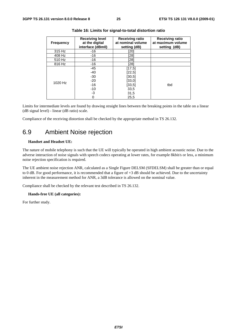| <b>Frequency</b> | <b>Receiving level</b><br>at the digital<br>interface (dBm0) | <b>Receiving ratio</b><br>at nominal volume<br>setting (dB) | <b>Receiving ratio</b><br>at maximum volume<br>setting (dB) |
|------------------|--------------------------------------------------------------|-------------------------------------------------------------|-------------------------------------------------------------|
| 315 Hz           | -16                                                          | [20]                                                        |                                                             |
| 408 Hz           | $-16$                                                        | [28]                                                        |                                                             |
| 510 Hz           | $-16$                                                        | [28]                                                        |                                                             |
| 816 Hz           | $-16$                                                        | $[28]$                                                      |                                                             |
|                  | $-45$                                                        | [17, 5]                                                     |                                                             |
|                  | $-40$                                                        | $[22,5]$                                                    |                                                             |
| 1020 Hz          | $-30$                                                        | [30,5]                                                      |                                                             |
|                  | $-20$                                                        | [33,0]                                                      |                                                             |
|                  | $-16$                                                        | [33, 5]                                                     | tbd                                                         |
|                  | $-10$                                                        | 33,5                                                        |                                                             |
|                  | -3                                                           | 31,5                                                        |                                                             |
|                  | 0                                                            | 25,5                                                        |                                                             |

Limits for intermediate levels are found by drawing straight lines between the breaking points in the table on a linear (dB signal level) - linear (dB ratio) scale.

Compliance of the receiving distortion shall be checked by the appropriate method in TS 26.132.

### 6.9 Ambient Noise rejection

#### **Handset and Headset UE:**

The nature of mobile telephony is such that the UE will typically be operated in high ambient acoustic noise. Due to the adverse interaction of noise signals with speech codecs operating at lower rates, for example 8kbit/s or less, a minimum noise rejection specification is required.

The UE ambient noise rejection ANR, calculated as a Single Figure DELSM (SFDELSM) shall be greater than or equal to 0 dB. For good performance, it is recommended that a figure of +3 dB should be achieved. Due to the uncertainty inherent in the measurement method for ANR, a 3dB tolerance is allowed on the nominal value.

Compliance shall be checked by the relevant test described in TS 26.132.

#### **Hands-free UE (all categories):**

For further study.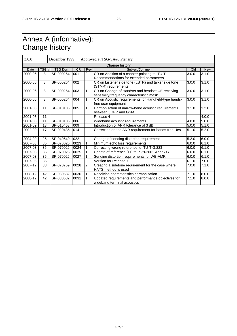# Annex A (informative): Change history

| 3.0.0          |      | December 1999<br>Approved at TSG-SA#6 Plenary |           |                |                                                                                               |       |            |
|----------------|------|-----------------------------------------------|-----------|----------------|-----------------------------------------------------------------------------------------------|-------|------------|
| Change history |      |                                               |           |                |                                                                                               |       |            |
| Date           | TSG# | TSG Doc.                                      | <b>CR</b> | Rev            | Subject/Comment                                                                               | Old   | <b>New</b> |
| 2000-06        | 8    | SP-000264                                     | 001       | $\overline{2}$ | CR on Addition of a chapter pointing to ITU-T                                                 | 3.0.0 | 3.1.0      |
|                |      |                                               |           |                | Recommendations for extended parameters                                                       |       |            |
| 2000-06        | 8    | SP-000264                                     | 002       |                | CR on Listener side tone (LSTR) and talker side tone                                          | 3.0.0 | 3.1.0      |
|                |      |                                               |           |                | (STMR) requirements                                                                           |       |            |
| 2000-06        | 8    | SP-000264                                     | 003       | 1              | CR on Change of Handset and headset UE receiving<br>sensitivity/frequency characteristic mask | 3.0.0 | 3.1.0      |
| 2000-06        | 8    | SP-000264                                     | 004       |                | CR on Acoustic requirements for Handheld-type hands-<br>free user equipment                   | 3.0.0 | 3.1.0      |
| 2001-03        | 11   | SP-010106                                     | 005       |                | Harmonisation of narrow-band acoustic requirements<br>between 3GPP and GSM                    | 3.1.0 | 3.2.0      |
| 2001-03        | 11   |                                               |           |                | Release 4                                                                                     |       | 4.0.0      |
| 2001-03        | 11   | SP-010106                                     | 006       | 3              | Wideband acoustic requirements                                                                | 4.0.0 | 5.0.0      |
| 2001-09        | 13   | SP-010453                                     | 009       |                | Introduction of ANR tolerance of 3 dB                                                         | 5.0.0 | 5.1.0      |
| 2002-09        | 17   | SP-020435                                     | 014       |                | Correction on the ANR requirement for hands-free Ues                                          | 5.1.0 | 5.2.0      |
|                |      |                                               |           |                |                                                                                               |       |            |
| 2004-09        | 25   | SP-040649                                     | 022       |                | Change of sending distortion requirement                                                      | 5.2.0 | 6.0.0      |
| 2007-03        | 35   | SP-070026                                     | 0023      |                | Minimum echo loss requirements                                                                | 6.0.0 | 6.1.0      |
| 2007-03        | 35   | SP-070026                                     | 0024      |                | Correcting wrong reference to ITU-T G.223                                                     | 6.0.0 | 6.1.0      |
| 2007-03        | 35   | SP-070026                                     | 0025      |                | Update of reference [11] to P.79-2001 Annex G                                                 | 6.0.0 | 6.1.0      |
| 2007-03        | 35   | SP-070026                                     | 0027      |                | Sending distortion requirements for WB-AMR                                                    | 6.0.0 | 6.1.0      |
| 2007-06        | 36   |                                               |           |                | Version for Release 7                                                                         | 6.1.0 | 7.0.0      |
| 2007-12        | 38   | SP-070759                                     | 0028      | 2              | Creating a sidetone requirement for the case where<br><b>HATS</b> method is used              | 7.0.0 | 7.1.0      |
| 2008-12        | 42   | SP-080682                                     | 0030      |                | Receiving characteristics harmonization                                                       | 7.1.0 | 8.0.0      |
| 2008-12        | 42   | SP-080682                                     | 0031      |                | Updated requirements and performance objectives for<br>wideband terminal acoustics            | 7.1.0 | 8.0.0      |